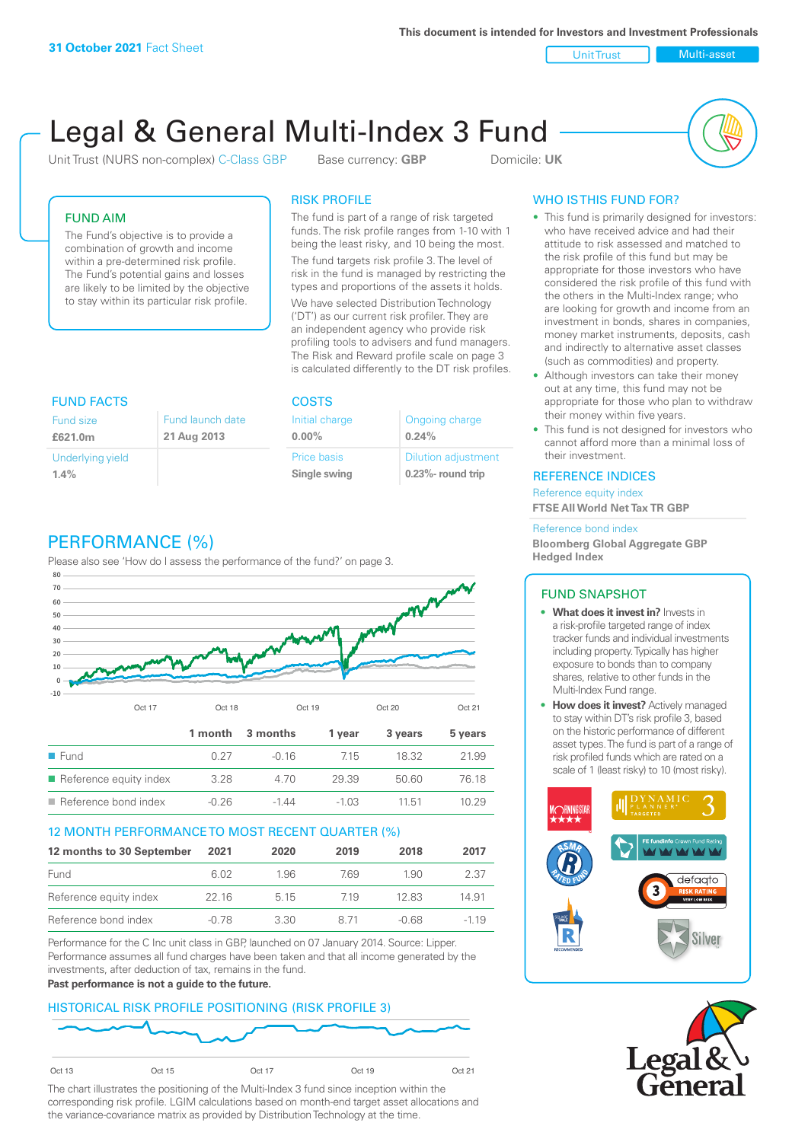**This document is intended for Investors and Investment Professionals**

Unit Trust Nulti-asset

# Legal & General Multi-Index 3 Fund

Unit Trust (NURS non-complex) C-Class GBP Base currency: **GBP** Domicile: UK



# FUND AIM

The Fund's objective is to provide a combination of growth and income within a pre-determined risk profile. The Fund's potential gains and losses are likely to be limited by the objective to stay within its particular risk profile.

## RISK PROFILE

The fund is part of a range of risk targeted funds. The risk profile ranges from 1-10 with 1 being the least risky, and 10 being the most.

The fund targets risk profile 3. The level of risk in the fund is managed by restricting the types and proportions of the assets it holds. We have selected Distribution Technology ('DT') as our current risk profiler. They are an independent agency who provide risk profiling tools to advisers and fund managers. The Risk and Reward profile scale on page 3 is calculated differently to the DT risk profiles.

| <b>FUND FACTS</b> |                  | <b>COSTS</b>   |                            |  |
|-------------------|------------------|----------------|----------------------------|--|
| <b>Fund size</b>  | Fund launch date | Initial charge | Ongoing charge             |  |
| £621.0m           | 21 Aug 2013      | $0.00\%$       | 0.24%                      |  |
| Underlying yield  |                  | Price basis    | <b>Dilution adjustment</b> |  |
| 1.4%              |                  | Single swing   | $0.23\%$ - round trip      |  |

# PERFORMANCE (%)

Please also see 'How do I assess the performance of the fund?' on page 3.



# 12 MONTH PERFORMANCE TO MOST RECENT QUARTER (%)

| 12 months to 30 September | 2021  | 2020  | 2019 | 2018  | 2017   |
|---------------------------|-------|-------|------|-------|--------|
| Fund                      | 6.02  | 1.96  | 769  | 1.90  | 2.37   |
| Reference equity index    | 22.16 | 5 1 5 | 719  | 12.83 | 14.91  |
| Reference bond index      | -0.78 | 3.30  | 8.71 | -0.68 | $-119$ |

Performance for the C Inc unit class in GBP, launched on 07 January 2014. Source: Lipper. Performance assumes all fund charges have been taken and that all income generated by the investments, after deduction of tax, remains in the fund.

#### **Past performance is not a guide to the future.**

# HISTORICAL RISK PROFILE POSITIONING (RISK PROFILE 3)



The chart illustrates the positioning of the Multi-Index 3 fund since inception within the corresponding risk profile. LGIM calculations based on month-end target asset allocations and the variance-covariance matrix as provided by Distribution Technology at the time.

# WHO IS THIS FUND FOR?

- This fund is primarily designed for investors: who have received advice and had their attitude to risk assessed and matched to the risk profile of this fund but may be appropriate for those investors who have considered the risk profile of this fund with the others in the Multi-Index range; who are looking for growth and income from an investment in bonds, shares in companies, money market instruments, deposits, cash and indirectly to alternative asset classes (such as commodities) and property.
- Although investors can take their money out at any time, this fund may not be appropriate for those who plan to withdraw their money within five years.
- This fund is not designed for investors who cannot afford more than a minimal loss of their investment.

### REFERENCE INDICES

Reference equity index **FTSE All World Net Tax TR GBP**

#### Reference bond index

**Bloomberg Global Aggregate GBP Hedged Index**

# FUND SNAPSHOT

- **• What does it invest in?** Invests in a risk-profile targeted range of index tracker funds and individual investments including property. Typically has higher exposure to bonds than to company shares, relative to other funds in the Multi-Index Fund range.
- **• How does it invest?** Actively managed to stay within DT's risk profile 3, based on the historic performance of different asset types. The fund is part of a range of risk profiled funds which are rated on a scale of 1 (least risky) to 10 (most risky).



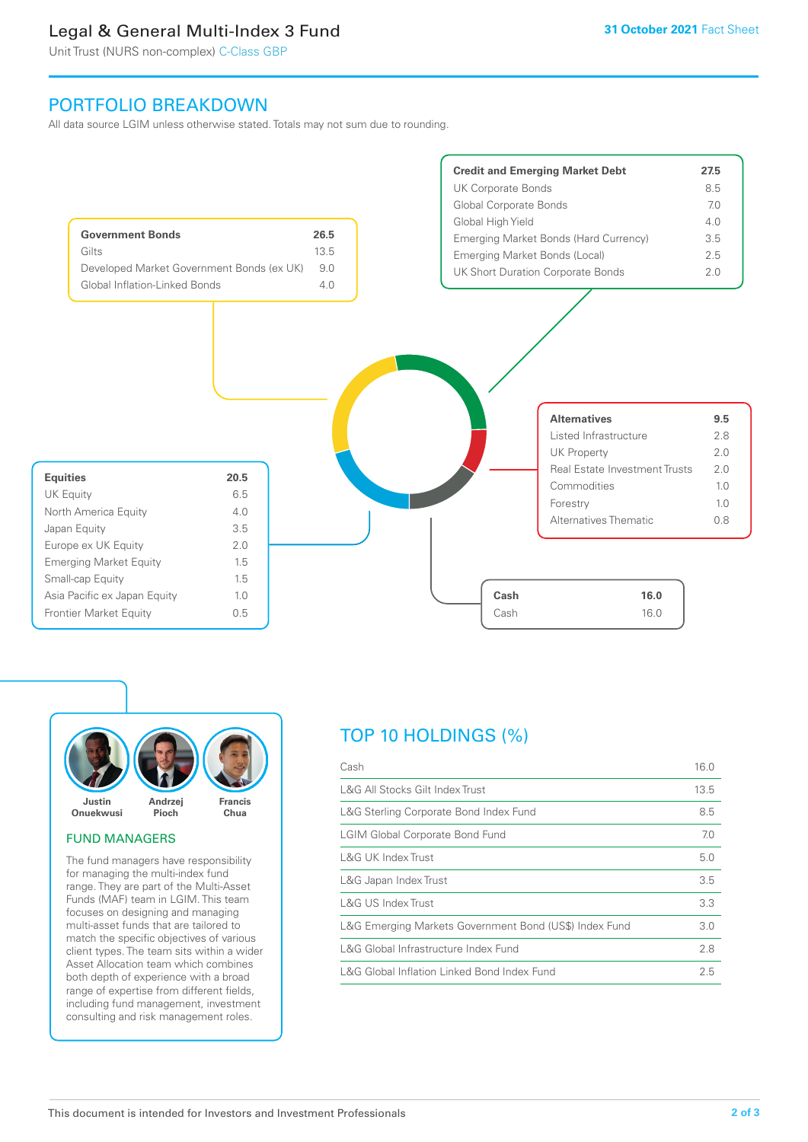# Legal & General Multi-Index 3 Fund

Unit Trust (NURS non-complex) C-Class GBP

# PORTFOLIO BREAKDOWN

All data source LGIM unless otherwise stated. Totals may not sum due to rounding.





### FUND MANAGERS

The fund managers have responsibility for managing the multi-index fund range. They are part of the Multi-Asset Funds (MAF) team in LGIM. This team focuses on designing and managing multi-asset funds that are tailored to match the specific objectives of various client types. The team sits within a wider Asset Allocation team which combines both depth of experience with a broad range of expertise from different fields, including fund management, investment consulting and risk management roles.

# TOP 10 HOLDINGS (%)

| Cash                                                   | 16.0 |
|--------------------------------------------------------|------|
| L&G All Stocks Gilt Index Trust                        | 13.5 |
| L&G Sterling Corporate Bond Index Fund                 | 8.5  |
| <b>LGIM Global Corporate Bond Fund</b>                 | 7.0  |
| L&G UK Index Trust                                     | 5.0  |
| L&G Japan Index Trust                                  | 3.5  |
| L&G US Index Trust                                     | 3.3  |
| L&G Emerging Markets Government Bond (US\$) Index Fund | 3.0  |
| L&G Global Infrastructure Index Fund                   | 2.8  |
| L&G Global Inflation Linked Bond Index Fund            | 2.5  |